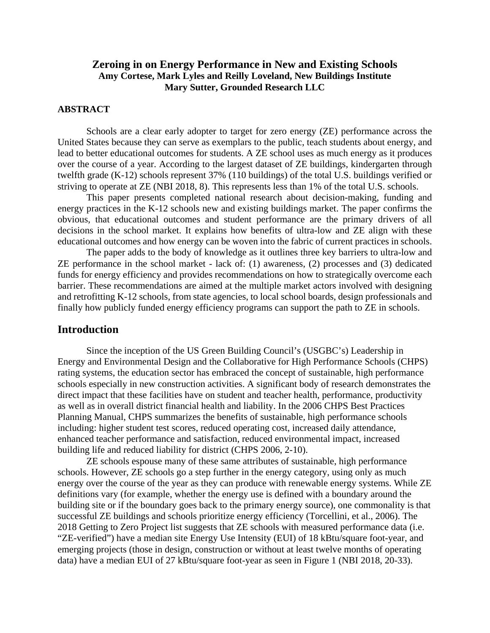## **Zeroing in on Energy Performance in New and Existing Schools Amy Cortese, Mark Lyles and Reilly Loveland, New Buildings Institute Mary Sutter, Grounded Research LLC**

#### **ABSTRACT**

Schools are a clear early adopter to target for zero energy (ZE) performance across the United States because they can serve as exemplars to the public, teach students about energy, and lead to better educational outcomes for students. A ZE school uses as much energy as it produces over the course of a year. According to the largest dataset of ZE buildings, kindergarten through twelfth grade (K-12) schools represent 37% (110 buildings) of the total U.S. buildings verified or striving to operate at ZE (NBI 2018, 8). This represents less than 1% of the total U.S. schools.

This paper presents completed national research about decision-making, funding and energy practices in the K-12 schools new and existing buildings market. The paper confirms the obvious, that educational outcomes and student performance are the primary drivers of all decisions in the school market. It explains how benefits of ultra-low and ZE align with these educational outcomes and how energy can be woven into the fabric of current practices in schools.

The paper adds to the body of knowledge as it outlines three key barriers to ultra-low and ZE performance in the school market - lack of: (1) awareness, (2) processes and (3) dedicated funds for energy efficiency and provides recommendations on how to strategically overcome each barrier. These recommendations are aimed at the multiple market actors involved with designing and retrofitting K-12 schools, from state agencies, to local school boards, design professionals and finally how publicly funded energy efficiency programs can support the path to ZE in schools.

### **Introduction**

Since the inception of the US Green Building Council's (USGBC's) Leadership in Energy and Environmental Design and the Collaborative for High Performance Schools (CHPS) rating systems, the education sector has embraced the concept of sustainable, high performance schools especially in new construction activities. A significant body of research demonstrates the direct impact that these facilities have on student and teacher health, performance, productivity as well as in overall district financial health and liability. In the 2006 CHPS Best Practices Planning Manual, CHPS summarizes the benefits of sustainable, high performance schools including: higher student test scores, reduced operating cost, increased daily attendance, enhanced teacher performance and satisfaction, reduced environmental impact, increased building life and reduced liability for district (CHPS 2006, 2-10).

ZE schools espouse many of these same attributes of sustainable, high performance schools. However, ZE schools go a step further in the energy category, using only as much energy over the course of the year as they can produce with renewable energy systems. While ZE definitions vary (for example, whether the energy use is defined with a boundary around the building site or if the boundary goes back to the primary energy source), one commonality is that successful ZE buildings and schools prioritize energy efficiency (Torcellini, et al., 2006). The 2018 Getting to Zero Project list suggests that ZE schools with measured performance data (i.e. "ZE-verified") have a median site Energy Use Intensity (EUI) of 18 kBtu/square foot-year, and emerging projects (those in design, construction or without at least twelve months of operating data) have a median EUI of 27 kBtu/square foot-year as seen in Figure 1 (NBI 2018, 20-33).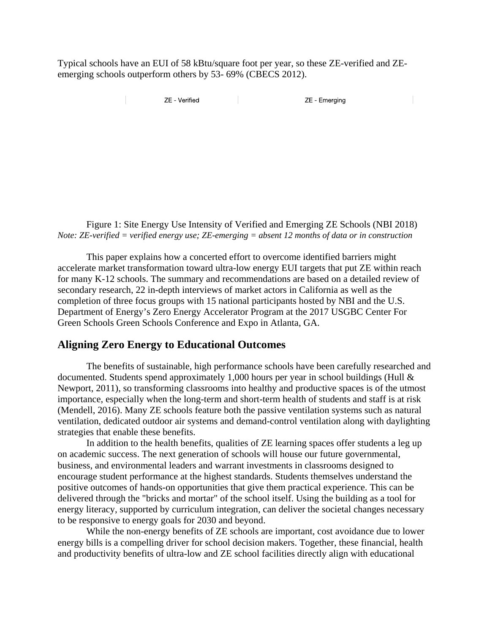Typical schools have an EUI of 58 kBtu/square foot per year, so these ZE-verified and ZEemerging schools outperform others by 53- 69% (CBECS 2012).

**7F** - Verified

ZE - Emerging

Figure 1: Site Energy Use Intensity of Verified and Emerging ZE Schools (NBI 2018) *Note: ZE-verified = verified energy use; ZE-emerging = absent 12 months of data or in construction*

This paper explains how a concerted effort to overcome identified barriers might accelerate market transformation toward ultra-low energy EUI targets that put ZE within reach for many K-12 schools. The summary and recommendations are based on a detailed review of secondary research, 22 in-depth interviews of market actors in California as well as the completion of three focus groups with 15 national participants hosted by NBI and the U.S. Department of Energy's Zero Energy Accelerator Program at the 2017 USGBC Center For Green Schools Green Schools Conference and Expo in Atlanta, GA.

#### **Aligning Zero Energy to Educational Outcomes**

The benefits of sustainable, high performance schools have been carefully researched and documented. Students spend approximately 1,000 hours per year in school buildings (Hull & Newport, 2011), so transforming classrooms into healthy and productive spaces is of the utmost importance, especially when the long-term and short-term health of students and staff is at risk (Mendell, 2016). Many ZE schools feature both the passive ventilation systems such as natural ventilation, dedicated outdoor air systems and demand-control ventilation along with daylighting strategies that enable these benefits.

In addition to the health benefits, qualities of ZE learning spaces offer students a leg up on academic success. The next generation of schools will house our future governmental, business, and environmental leaders and warrant investments in classrooms designed to encourage student performance at the highest standards. Students themselves understand the positive outcomes of hands-on opportunities that give them practical experience. This can be delivered through the "bricks and mortar" of the school itself. Using the building as a tool for energy literacy, supported by curriculum integration, can deliver the societal changes necessary to be responsive to energy goals for 2030 and beyond.

While the non-energy benefits of ZE schools are important, cost avoidance due to lower energy bills is a compelling driver for school decision makers. Together, these financial, health and productivity benefits of ultra-low and ZE school facilities directly align with educational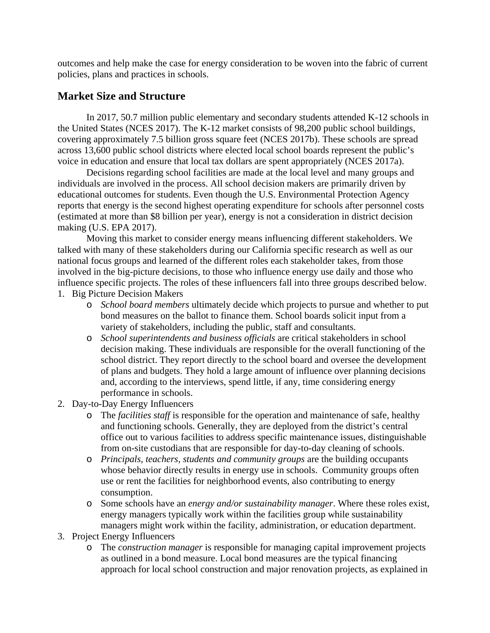outcomes and help make the case for energy consideration to be woven into the fabric of current policies, plans and practices in schools.

# **Market Size and Structure**

In 2017, 50.7 million public elementary and secondary students attended K-12 schools in the United States (NCES 2017). The K-12 market consists of 98,200 public school buildings, covering approximately 7.5 billion gross square feet (NCES 2017b). These schools are spread across 13,600 public school districts where elected local school boards represent the public's voice in education and ensure that local tax dollars are spent appropriately (NCES 2017a).

Decisions regarding school facilities are made at the local level and many groups and individuals are involved in the process. All school decision makers are primarily driven by educational outcomes for students. Even though the U.S. Environmental Protection Agency reports that energy is the second highest operating expenditure for schools after personnel costs (estimated at more than \$8 billion per year), energy is not a consideration in district decision making (U.S. EPA 2017).

Moving this market to consider energy means influencing different stakeholders. We talked with many of these stakeholders during our California specific research as well as our national focus groups and learned of the different roles each stakeholder takes, from those involved in the big-picture decisions, to those who influence energy use daily and those who influence specific projects. The roles of these influencers fall into three groups described below.

- 1. Big Picture Decision Makers
	- o *School board members* ultimately decide which projects to pursue and whether to put bond measures on the ballot to finance them. School boards solicit input from a variety of stakeholders, including the public, staff and consultants.
	- o *School superintendents and business officials* are critical stakeholders in school decision making. These individuals are responsible for the overall functioning of the school district. They report directly to the school board and oversee the development of plans and budgets. They hold a large amount of influence over planning decisions and, according to the interviews, spend little, if any, time considering energy performance in schools.
- 2. Day-to-Day Energy Influencers
	- o The *facilities staff* is responsible for the operation and maintenance of safe, healthy and functioning schools. Generally, they are deployed from the district's central office out to various facilities to address specific maintenance issues, distinguishable from on-site custodians that are responsible for day-to-day cleaning of schools.
	- o *Principals, teachers, students and community groups* are the building occupants whose behavior directly results in energy use in schools. Community groups often use or rent the facilities for neighborhood events, also contributing to energy consumption.
	- o Some schools have an *energy and/or sustainability manager*. Where these roles exist, energy managers typically work within the facilities group while sustainability managers might work within the facility, administration, or education department.
- 3. Project Energy Influencers
	- o The *construction manager* is responsible for managing capital improvement projects as outlined in a bond measure. Local bond measures are the typical financing approach for local school construction and major renovation projects, as explained in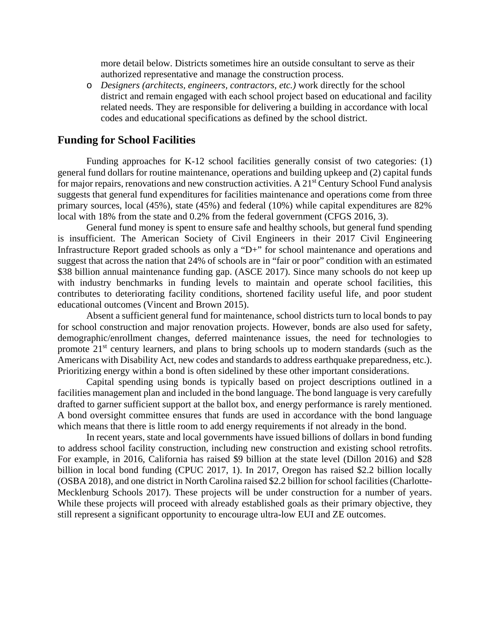more detail below. Districts sometimes hire an outside consultant to serve as their authorized representative and manage the construction process.

o *Designers (architects, engineers, contractors, etc.)* work directly for the school district and remain engaged with each school project based on educational and facility related needs. They are responsible for delivering a building in accordance with local codes and educational specifications as defined by the school district.

### **Funding for School Facilities**

Funding approaches for K-12 school facilities generally consist of two categories: (1) general fund dollars for routine maintenance, operations and building upkeep and (2) capital funds for major repairs, renovations and new construction activities. A 21<sup>st</sup> Century School Fund analysis suggests that general fund expenditures for facilities maintenance and operations come from three primary sources, local (45%), state (45%) and federal (10%) while capital expenditures are 82% local with 18% from the state and 0.2% from the federal government (CFGS 2016, 3).

General fund money is spent to ensure safe and healthy schools, but general fund spending is insufficient. The American Society of Civil Engineers in their 2017 Civil Engineering Infrastructure Report graded schools as only a "D+" for school maintenance and operations and suggest that across the nation that 24% of schools are in "fair or poor" condition with an estimated \$38 billion annual maintenance funding gap. (ASCE 2017). Since many schools do not keep up with industry benchmarks in funding levels to maintain and operate school facilities, this contributes to deteriorating facility conditions, shortened facility useful life, and poor student educational outcomes (Vincent and Brown 2015).

Absent a sufficient general fund for maintenance, school districts turn to local bonds to pay for school construction and major renovation projects. However, bonds are also used for safety, demographic/enrollment changes, deferred maintenance issues, the need for technologies to promote 21<sup>st</sup> century learners, and plans to bring schools up to modern standards (such as the Americans with Disability Act, new codes and standards to address earthquake preparedness, etc.). Prioritizing energy within a bond is often sidelined by these other important considerations.

Capital spending using bonds is typically based on project descriptions outlined in a facilities management plan and included in the bond language. The bond language is very carefully drafted to garner sufficient support at the ballot box, and energy performance is rarely mentioned. A bond oversight committee ensures that funds are used in accordance with the bond language which means that there is little room to add energy requirements if not already in the bond.

In recent years, state and local governments have issued billions of dollars in bond funding to address school facility construction, including new construction and existing school retrofits. For example, in 2016, California has raised \$9 billion at the state level (Dillon 2016) and \$28 billion in local bond funding (CPUC 2017, 1). In 2017, Oregon has raised \$2.2 billion locally (OSBA 2018), and one district in North Carolina raised \$2.2 billion for school facilities (Charlotte-Mecklenburg Schools 2017). These projects will be under construction for a number of years. While these projects will proceed with already established goals as their primary objective, they still represent a significant opportunity to encourage ultra-low EUI and ZE outcomes.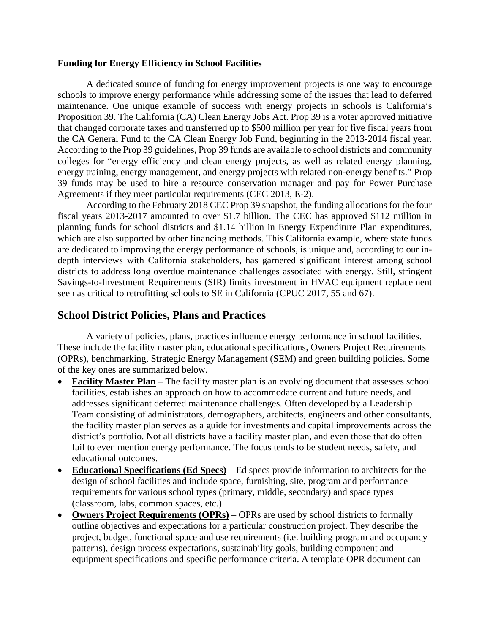#### **Funding for Energy Efficiency in School Facilities**

A dedicated source of funding for energy improvement projects is one way to encourage schools to improve energy performance while addressing some of the issues that lead to deferred maintenance. One unique example of success with energy projects in schools is California's Proposition 39. The California (CA) Clean Energy Jobs Act. Prop 39 is a voter approved initiative that changed corporate taxes and transferred up to \$500 million per year for five fiscal years from the CA General Fund to the CA Clean Energy Job Fund, beginning in the 2013-2014 fiscal year. According to the Prop 39 guidelines, Prop 39 funds are available to school districts and community colleges for "energy efficiency and clean energy projects, as well as related energy planning, energy training, energy management, and energy projects with related non-energy benefits." Prop 39 funds may be used to hire a resource conservation manager and pay for Power Purchase Agreements if they meet particular requirements (CEC 2013, E-2).

According to the February 2018 CEC Prop 39 snapshot, the funding allocations for the four fiscal years 2013-2017 amounted to over \$1.7 billion. The CEC has approved \$112 million in planning funds for school districts and \$1.14 billion in Energy Expenditure Plan expenditures, which are also supported by other financing methods. This California example, where state funds are dedicated to improving the energy performance of schools, is unique and, according to our indepth interviews with California stakeholders, has garnered significant interest among school districts to address long overdue maintenance challenges associated with energy. Still, stringent Savings-to-Investment Requirements (SIR) limits investment in HVAC equipment replacement seen as critical to retrofitting schools to SE in California (CPUC 2017, 55 and 67).

# **School District Policies, Plans and Practices**

A variety of policies, plans, practices influence energy performance in school facilities. These include the facility master plan, educational specifications, Owners Project Requirements (OPRs), benchmarking, Strategic Energy Management (SEM) and green building policies. Some of the key ones are summarized below.

- **Facility Master Plan** The facility master plan is an evolving document that assesses school facilities, establishes an approach on how to accommodate current and future needs, and addresses significant deferred maintenance challenges. Often developed by a Leadership Team consisting of administrators, demographers, architects, engineers and other consultants, the facility master plan serves as a guide for investments and capital improvements across the district's portfolio. Not all districts have a facility master plan, and even those that do often fail to even mention energy performance. The focus tends to be student needs, safety, and educational outcomes.
- **Educational Specifications (Ed Specs)** Ed specs provide information to architects for the design of school facilities and include space, furnishing, site, program and performance requirements for various school types (primary, middle, secondary) and space types (classroom, labs, common spaces, etc.).
- **Owners Project Requirements (OPRs)** OPRs are used by school districts to formally outline objectives and expectations for a particular construction project. They describe the project, budget, functional space and use requirements (i.e. building program and occupancy patterns), design process expectations, sustainability goals, building component and equipment specifications and specific performance criteria. A template OPR document can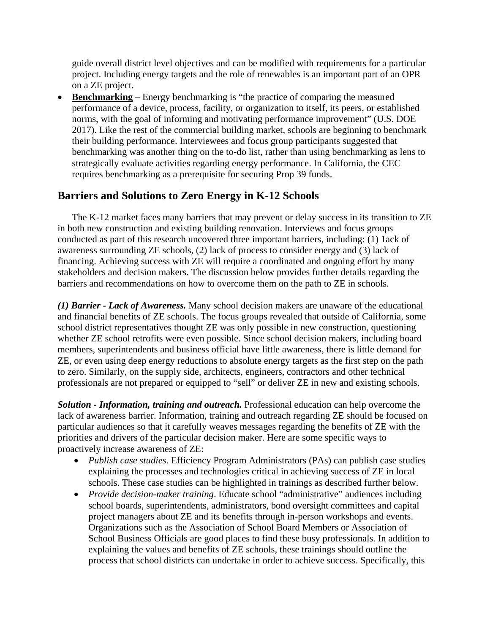guide overall district level objectives and can be modified with requirements for a particular project. Including energy targets and the role of renewables is an important part of an OPR on a ZE project.

• **Benchmarking** – Energy benchmarking is "the practice of comparing the measured performance of a device, process, facility, or organization to itself, its peers, or established norms, with the goal of informing and motivating performance improvement" (U.S. DOE 2017). Like the rest of the commercial building market, schools are beginning to benchmark their building performance. Interviewees and focus group participants suggested that benchmarking was another thing on the to-do list, rather than using benchmarking as lens to strategically evaluate activities regarding energy performance. In California, the CEC requires benchmarking as a prerequisite for securing Prop 39 funds.

# **Barriers and Solutions to Zero Energy in K-12 Schools**

The K-12 market faces many barriers that may prevent or delay success in its transition to ZE in both new construction and existing building renovation. Interviews and focus groups conducted as part of this research uncovered three important barriers, including: (1) 1ack of awareness surrounding ZE schools, (2) lack of process to consider energy and (3) lack of financing. Achieving success with ZE will require a coordinated and ongoing effort by many stakeholders and decision makers. The discussion below provides further details regarding the barriers and recommendations on how to overcome them on the path to ZE in schools.

*(1) Barrier - Lack of Awareness.* Many school decision makers are unaware of the educational and financial benefits of ZE schools. The focus groups revealed that outside of California, some school district representatives thought ZE was only possible in new construction, questioning whether ZE school retrofits were even possible. Since school decision makers, including board members, superintendents and business official have little awareness, there is little demand for ZE, or even using deep energy reductions to absolute energy targets as the first step on the path to zero. Similarly, on the supply side, architects, engineers, contractors and other technical professionals are not prepared or equipped to "sell" or deliver ZE in new and existing schools.

*Solution - Information, training and outreach.* Professional education can help overcome the lack of awareness barrier. Information, training and outreach regarding ZE should be focused on particular audiences so that it carefully weaves messages regarding the benefits of ZE with the priorities and drivers of the particular decision maker. Here are some specific ways to proactively increase awareness of ZE:

- *Publish case studies*. Efficiency Program Administrators (PAs) can publish case studies explaining the processes and technologies critical in achieving success of ZE in local schools. These case studies can be highlighted in trainings as described further below.
- *Provide decision-maker training*. Educate school "administrative" audiences including school boards, superintendents, administrators, bond oversight committees and capital project managers about ZE and its benefits through in-person workshops and events. Organizations such as the Association of School Board Members or Association of School Business Officials are good places to find these busy professionals. In addition to explaining the values and benefits of ZE schools, these trainings should outline the process that school districts can undertake in order to achieve success. Specifically, this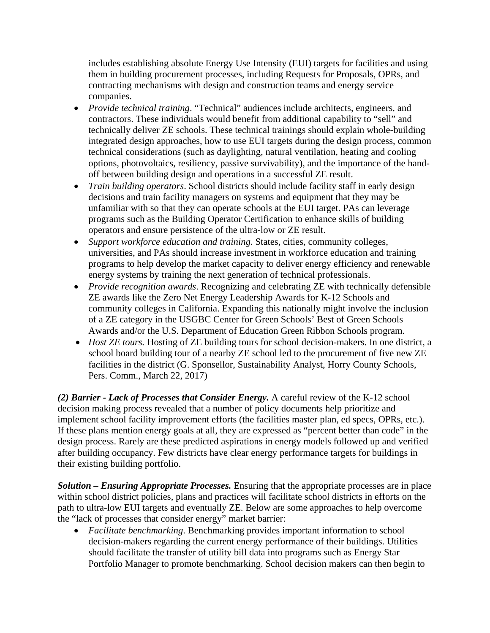includes establishing absolute Energy Use Intensity (EUI) targets for facilities and using them in building procurement processes, including Requests for Proposals, OPRs, and contracting mechanisms with design and construction teams and energy service companies.

- *Provide technical training*. "Technical" audiences include architects, engineers, and contractors. These individuals would benefit from additional capability to "sell" and technically deliver ZE schools. These technical trainings should explain whole-building integrated design approaches, how to use EUI targets during the design process, common technical considerations (such as daylighting, natural ventilation, heating and cooling options, photovoltaics, resiliency, passive survivability), and the importance of the handoff between building design and operations in a successful ZE result.
- *Train building operators.* School districts should include facility staff in early design decisions and train facility managers on systems and equipment that they may be unfamiliar with so that they can operate schools at the EUI target. PAs can leverage programs such as the Building Operator Certification to enhance skills of building operators and ensure persistence of the ultra-low or ZE result.
- *Support workforce education and training*. States, cities, community colleges, universities, and PAs should increase investment in workforce education and training programs to help develop the market capacity to deliver energy efficiency and renewable energy systems by training the next generation of technical professionals.
- *Provide recognition awards*. Recognizing and celebrating ZE with technically defensible ZE awards like the Zero Net Energy Leadership Awards for K-12 Schools and community colleges in California. Expanding this nationally might involve the inclusion of a ZE category in the USGBC Center for Green Schools' Best of Green Schools Awards and/or the U.S. Department of Education Green Ribbon Schools program.
- *Host ZE tours*. Hosting of ZE building tours for school decision-makers. In one district, a school board building tour of a nearby ZE school led to the procurement of five new ZE facilities in the district (G. Sponsellor, Sustainability Analyst, Horry County Schools, Pers. Comm., March 22, 2017)

*(2) Barrier - Lack of Processes that Consider Energy.* A careful review of the K-12 school decision making process revealed that a number of policy documents help prioritize and implement school facility improvement efforts (the facilities master plan, ed specs, OPRs, etc.). If these plans mention energy goals at all, they are expressed as "percent better than code" in the design process. Rarely are these predicted aspirations in energy models followed up and verified after building occupancy. Few districts have clear energy performance targets for buildings in their existing building portfolio.

*Solution – Ensuring Appropriate Processes.* Ensuring that the appropriate processes are in place within school district policies, plans and practices will facilitate school districts in efforts on the path to ultra-low EUI targets and eventually ZE. Below are some approaches to help overcome the "lack of processes that consider energy" market barrier:

• *Facilitate benchmarking*. Benchmarking provides important information to school decision-makers regarding the current energy performance of their buildings. Utilities should facilitate the transfer of utility bill data into programs such as Energy Star Portfolio Manager to promote benchmarking. School decision makers can then begin to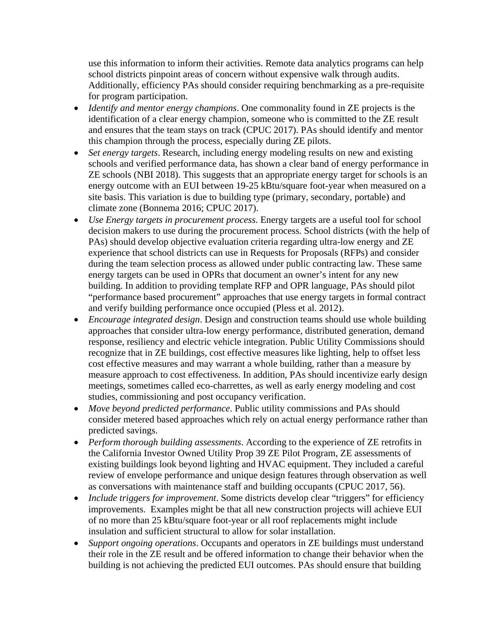use this information to inform their activities. Remote data analytics programs can help school districts pinpoint areas of concern without expensive walk through audits. Additionally, efficiency PAs should consider requiring benchmarking as a pre-requisite for program participation.

- *Identify and mentor energy champions*. One commonality found in ZE projects is the identification of a clear energy champion, someone who is committed to the ZE result and ensures that the team stays on track (CPUC 2017). PAs should identify and mentor this champion through the process, especially during ZE pilots.
- *Set energy targets*. Research, including energy modeling results on new and existing schools and verified performance data, has shown a clear band of energy performance in ZE schools (NBI 2018). This suggests that an appropriate energy target for schools is an energy outcome with an EUI between 19-25 kBtu/square foot-year when measured on a site basis. This variation is due to building type (primary, secondary, portable) and climate zone (Bonnema 2016; CPUC 2017).
- *Use Energy targets in procurement process*. Energy targets are a useful tool for school decision makers to use during the procurement process. School districts (with the help of PAs) should develop objective evaluation criteria regarding ultra-low energy and ZE experience that school districts can use in Requests for Proposals (RFPs) and consider during the team selection process as allowed under public contracting law. These same energy targets can be used in OPRs that document an owner's intent for any new building. In addition to providing template RFP and OPR language, PAs should pilot "performance based procurement" approaches that use energy targets in formal contract and verify building performance once occupied (Pless et al. 2012).
- *Encourage integrated design*. Design and construction teams should use whole building approaches that consider ultra-low energy performance, distributed generation, demand response, resiliency and electric vehicle integration. Public Utility Commissions should recognize that in ZE buildings, cost effective measures like lighting, help to offset less cost effective measures and may warrant a whole building, rather than a measure by measure approach to cost effectiveness. In addition, PAs should incentivize early design meetings, sometimes called eco-charrettes, as well as early energy modeling and cost studies, commissioning and post occupancy verification.
- *Move beyond predicted performance*. Public utility commissions and PAs should consider metered based approaches which rely on actual energy performance rather than predicted savings.
- *Perform thorough building assessments*. According to the experience of ZE retrofits in the California Investor Owned Utility Prop 39 ZE Pilot Program, ZE assessments of existing buildings look beyond lighting and HVAC equipment. They included a careful review of envelope performance and unique design features through observation as well as conversations with maintenance staff and building occupants (CPUC 2017, 56).
- *Include triggers for improvement*. Some districts develop clear "triggers" for efficiency improvements. Examples might be that all new construction projects will achieve EUI of no more than 25 kBtu/square foot-year or all roof replacements might include insulation and sufficient structural to allow for solar installation.
- *Support ongoing operations*. Occupants and operators in ZE buildings must understand their role in the ZE result and be offered information to change their behavior when the building is not achieving the predicted EUI outcomes. PAs should ensure that building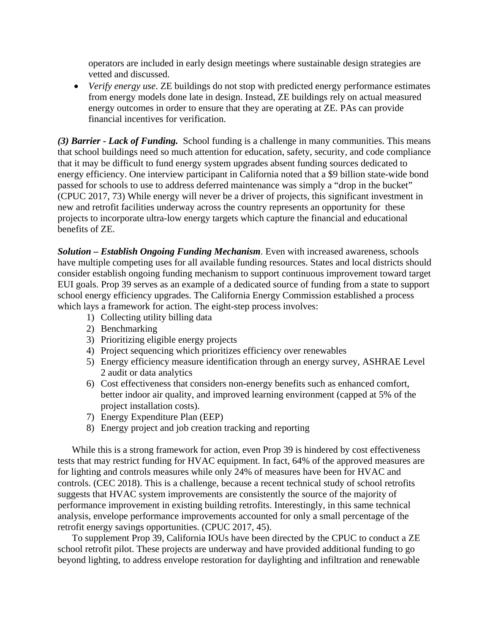operators are included in early design meetings where sustainable design strategies are vetted and discussed.

• *Verify energy use*. ZE buildings do not stop with predicted energy performance estimates from energy models done late in design. Instead, ZE buildings rely on actual measured energy outcomes in order to ensure that they are operating at ZE. PAs can provide financial incentives for verification.

*(3) Barrier - Lack of Funding.* School funding is a challenge in many communities. This means that school buildings need so much attention for education, safety, security, and code compliance that it may be difficult to fund energy system upgrades absent funding sources dedicated to energy efficiency. One interview participant in California noted that a \$9 billion state-wide bond passed for schools to use to address deferred maintenance was simply a "drop in the bucket" (CPUC 2017, 73) While energy will never be a driver of projects, this significant investment in new and retrofit facilities underway across the country represents an opportunity for these projects to incorporate ultra-low energy targets which capture the financial and educational benefits of ZE.

*Solution – Establish Ongoing Funding Mechanism*. Even with increased awareness, schools have multiple competing uses for all available funding resources. States and local districts should consider establish ongoing funding mechanism to support continuous improvement toward target EUI goals. Prop 39 serves as an example of a dedicated source of funding from a state to support school energy efficiency upgrades. The California Energy Commission established a process which lays a framework for action. The eight-step process involves:

- 1) Collecting utility billing data
- 2) Benchmarking
- 3) Prioritizing eligible energy projects
- 4) Project sequencing which prioritizes efficiency over renewables
- 5) Energy efficiency measure identification through an energy survey, ASHRAE Level 2 audit or data analytics
- 6) Cost effectiveness that considers non-energy benefits such as enhanced comfort, better indoor air quality, and improved learning environment (capped at 5% of the project installation costs).
- 7) Energy Expenditure Plan (EEP)
- 8) Energy project and job creation tracking and reporting

While this is a strong framework for action, even Prop 39 is hindered by cost effectiveness tests that may restrict funding for HVAC equipment. In fact, 64% of the approved measures are for lighting and controls measures while only 24% of measures have been for HVAC and controls. (CEC 2018). This is a challenge, because a recent technical study of school retrofits suggests that HVAC system improvements are consistently the source of the majority of performance improvement in existing building retrofits. Interestingly, in this same technical analysis, envelope performance improvements accounted for only a small percentage of the retrofit energy savings opportunities. (CPUC 2017, 45).

To supplement Prop 39, California IOUs have been directed by the CPUC to conduct a ZE school retrofit pilot. These projects are underway and have provided additional funding to go beyond lighting, to address envelope restoration for daylighting and infiltration and renewable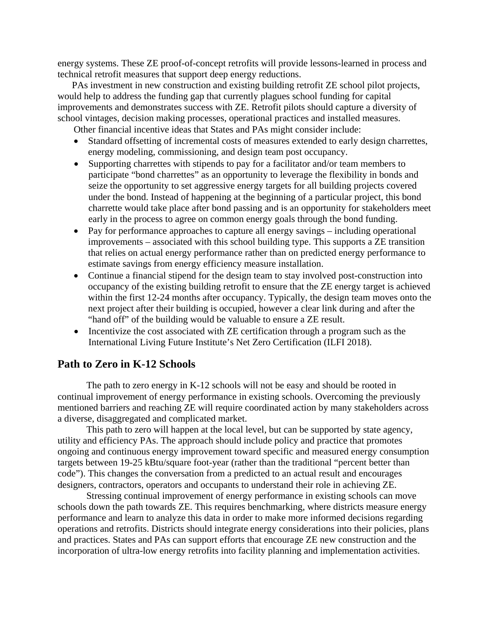energy systems. These ZE proof-of-concept retrofits will provide lessons-learned in process and technical retrofit measures that support deep energy reductions.

PAs investment in new construction and existing building retrofit ZE school pilot projects, would help to address the funding gap that currently plagues school funding for capital improvements and demonstrates success with ZE. Retrofit pilots should capture a diversity of school vintages, decision making processes, operational practices and installed measures.

Other financial incentive ideas that States and PAs might consider include:

- Standard offsetting of incremental costs of measures extended to early design charrettes, energy modeling, commissioning, and design team post occupancy.
- Supporting charrettes with stipends to pay for a facilitator and/or team members to participate "bond charrettes" as an opportunity to leverage the flexibility in bonds and seize the opportunity to set aggressive energy targets for all building projects covered under the bond. Instead of happening at the beginning of a particular project, this bond charrette would take place after bond passing and is an opportunity for stakeholders meet early in the process to agree on common energy goals through the bond funding.
- Pay for performance approaches to capture all energy savings including operational improvements – associated with this school building type. This supports a ZE transition that relies on actual energy performance rather than on predicted energy performance to estimate savings from energy efficiency measure installation.
- Continue a financial stipend for the design team to stay involved post-construction into occupancy of the existing building retrofit to ensure that the ZE energy target is achieved within the first 12-24 months after occupancy. Typically, the design team moves onto the next project after their building is occupied, however a clear link during and after the "hand off" of the building would be valuable to ensure a ZE result.
- Incentivize the cost associated with ZE certification through a program such as the International Living Future Institute's Net Zero Certification (ILFI 2018).

# **Path to Zero in K-12 Schools**

The path to zero energy in K-12 schools will not be easy and should be rooted in continual improvement of energy performance in existing schools. Overcoming the previously mentioned barriers and reaching ZE will require coordinated action by many stakeholders across a diverse, disaggregated and complicated market.

This path to zero will happen at the local level, but can be supported by state agency, utility and efficiency PAs. The approach should include policy and practice that promotes ongoing and continuous energy improvement toward specific and measured energy consumption targets between 19-25 kBtu/square foot-year (rather than the traditional "percent better than code"). This changes the conversation from a predicted to an actual result and encourages designers, contractors, operators and occupants to understand their role in achieving ZE.

Stressing continual improvement of energy performance in existing schools can move schools down the path towards ZE. This requires benchmarking, where districts measure energy performance and learn to analyze this data in order to make more informed decisions regarding operations and retrofits. Districts should integrate energy considerations into their policies, plans and practices. States and PAs can support efforts that encourage ZE new construction and the incorporation of ultra-low energy retrofits into facility planning and implementation activities.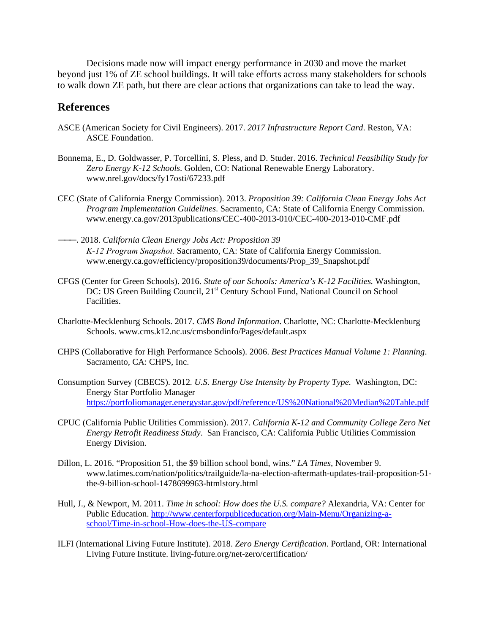Decisions made now will impact energy performance in 2030 and move the market beyond just 1% of ZE school buildings. It will take efforts across many stakeholders for schools to walk down ZE path, but there are clear actions that organizations can take to lead the way.

## **References**

- ASCE (American Society for Civil Engineers). 2017. *2017 Infrastructure Report Card*. Reston, VA: ASCE Foundation.
- Bonnema, E., D. Goldwasser, P. Torcellini, S. Pless, and D. Studer. 2016. *Technical Feasibility Study for Zero Energy K-12 Schools*. Golden, CO: National Renewable Energy Laboratory. www.nrel.gov/docs/fy17osti/67233.pdf
- CEC (State of California Energy Commission). 2013. *Proposition 39: California Clean Energy Jobs Act Program Implementation Guidelines*. Sacramento, CA: State of California Energy Commission. www.energy.ca.gov/2013publications/CEC-400-2013-010/CEC-400-2013-010-CMF.pdf
- ———. 2018. *California Clean Energy Jobs Act: Proposition 39 K‐12 Program Snapshot.* Sacramento, CA: State of California Energy Commission. www.energy.ca.gov/efficiency/proposition39/documents/Prop\_39\_Snapshot.pdf
- CFGS (Center for Green Schools). 2016. *State of our Schools: America's K-12 Facilities.* Washington, DC: US Green Building Council, 21<sup>st</sup> Century School Fund, National Council on School Facilities.
- Charlotte-Mecklenburg Schools. 2017. *CMS Bond Information*. Charlotte, NC: Charlotte-Mecklenburg Schools. www.cms.k12.nc.us/cmsbondinfo/Pages/default.aspx
- CHPS (Collaborative for High Performance Schools). 2006. *Best Practices Manual Volume 1: Planning*. Sacramento, CA: CHPS, Inc.
- Consumption Survey (CBECS). 2012*. U.S. Energy Use Intensity by Property Type.* Washington, DC: Energy Star Portfolio Manager <https://portfoliomanager.energystar.gov/pdf/reference/US%20National%20Median%20Table.pdf>
- CPUC (California Public Utilities Commission). 2017. *California K-12 and Community College Zero Net Energy Retrofit Readiness Study*. San Francisco, CA: California Public Utilities Commission Energy Division.
- Dillon, L. 2016. "Proposition 51, the \$9 billion school bond, wins." *LA Times,* November 9. www.latimes.com/nation/politics/trailguide/la-na-election-aftermath-updates-trail-proposition-51 the-9-billion-school-1478699963-htmlstory.html
- Hull, J., & Newport, M. 2011. *Time in school: How does the U.S. compare?* Alexandria, VA: Center for Public Education. [http://www.centerforpubliceducation.org/Main-Menu/Organizing-a](http://www.centerforpubliceducation.org/Main-Menu/Organizing-a-school/Time-in-school-How-does-the-US-compare)[school/Time-in-school-How-does-the-US-compare](http://www.centerforpubliceducation.org/Main-Menu/Organizing-a-school/Time-in-school-How-does-the-US-compare)
- ILFI (International Living Future Institute). 2018. *Zero Energy Certification*. Portland, OR: International Living Future Institute. living-future.org/net-zero/certification/